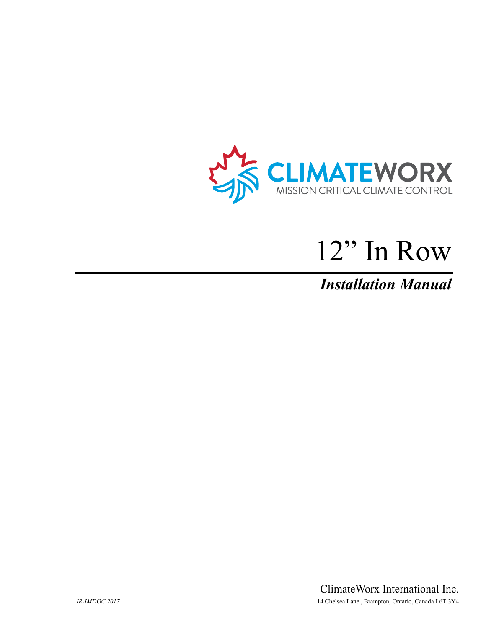

# 12" In Row

### *Installation Manual*

ClimateWorx International Inc. *IR-IMDOC 2017* 14 Chelsea Lane , Brampton, Ontario, Canada L6T 3Y4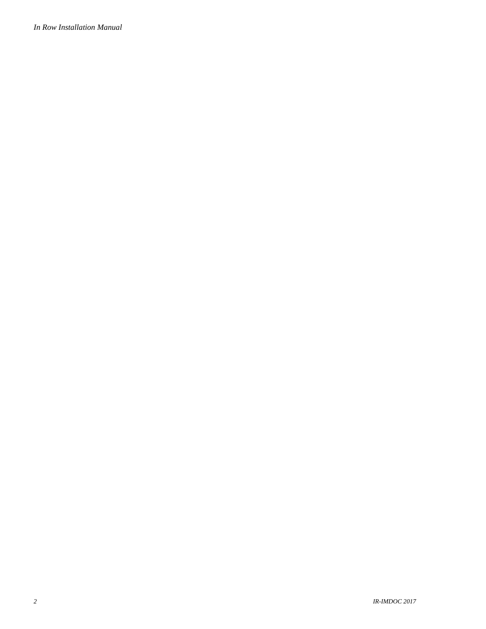*In Row Installation Manual*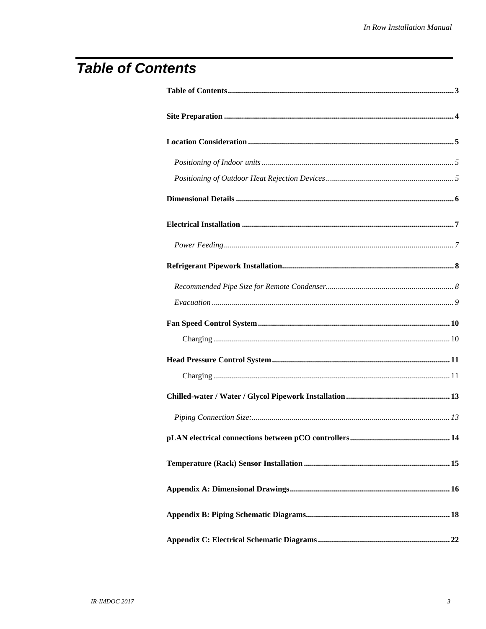### **Table of Contents**

| 14 |
|----|
|    |
|    |
|    |
|    |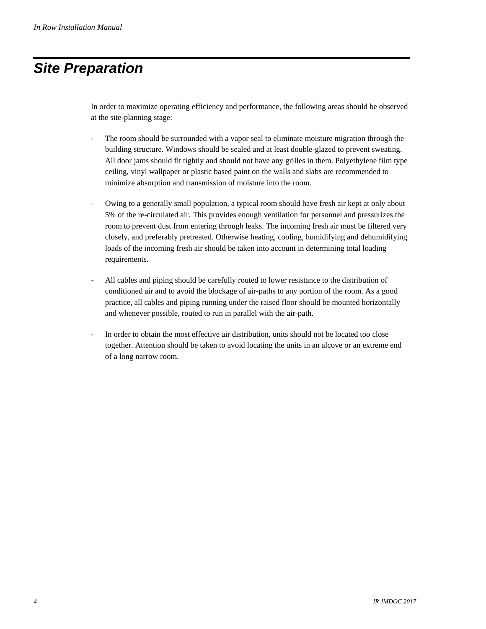### *Site Preparation*

In order to maximize operating efficiency and performance, the following areas should be observed at the site-planning stage:

- The room should be surrounded with a vapor seal to eliminate moisture migration through the building structure. Windows should be sealed and at least double-glazed to prevent sweating. All door jams should fit tightly and should not have any grilles in them. Polyethylene film type ceiling, vinyl wallpaper or plastic based paint on the walls and slabs are recommended to minimize absorption and transmission of moisture into the room.
- Owing to a generally small population, a typical room should have fresh air kept at only about 5% of the re-circulated air. This provides enough ventilation for personnel and pressurizes the room to prevent dust from entering through leaks. The incoming fresh air must be filtered very closely, and preferably pretreated. Otherwise heating, cooling, humidifying and dehumidifying loads of the incoming fresh air should be taken into account in determining total loading requirements.
- All cables and piping should be carefully routed to lower resistance to the distribution of conditioned air and to avoid the blockage of air-paths to any portion of the room. As a good practice, all cables and piping running under the raised floor should be mounted horizontally and whenever possible, routed to run in parallel with the air-path.
- In order to obtain the most effective air distribution, units should not be located too close together. Attention should be taken to avoid locating the units in an alcove or an extreme end of a long narrow room.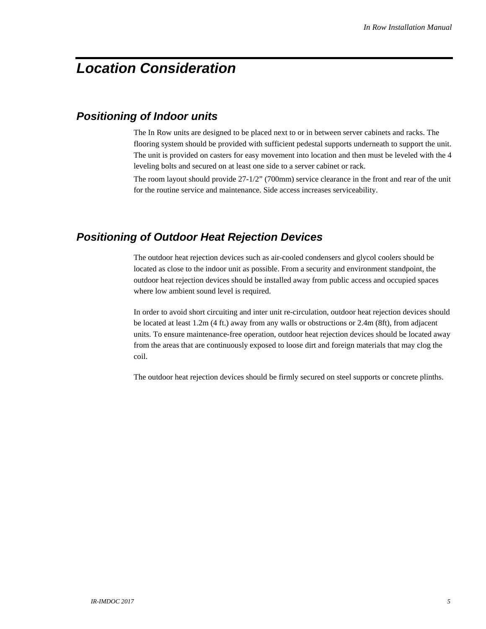### *Location Consideration*

#### *Positioning of Indoor units*

The In Row units are designed to be placed next to or in between server cabinets and racks. The flooring system should be provided with sufficient pedestal supports underneath to support the unit. The unit is provided on casters for easy movement into location and then must be leveled with the 4 leveling bolts and secured on at least one side to a server cabinet or rack.

The room layout should provide 27-1/2" (700mm) service clearance in the front and rear of the unit for the routine service and maintenance. Side access increases serviceability.

#### *Positioning of Outdoor Heat Rejection Devices*

The outdoor heat rejection devices such as air-cooled condensers and glycol coolers should be located as close to the indoor unit as possible. From a security and environment standpoint, the outdoor heat rejection devices should be installed away from public access and occupied spaces where low ambient sound level is required.

In order to avoid short circuiting and inter unit re-circulation, outdoor heat rejection devices should be located at least 1.2m (4 ft.) away from any walls or obstructions or 2.4m (8ft), from adjacent units. To ensure maintenance-free operation, outdoor heat rejection devices should be located away from the areas that are continuously exposed to loose dirt and foreign materials that may clog the coil.

The outdoor heat rejection devices should be firmly secured on steel supports or concrete plinths.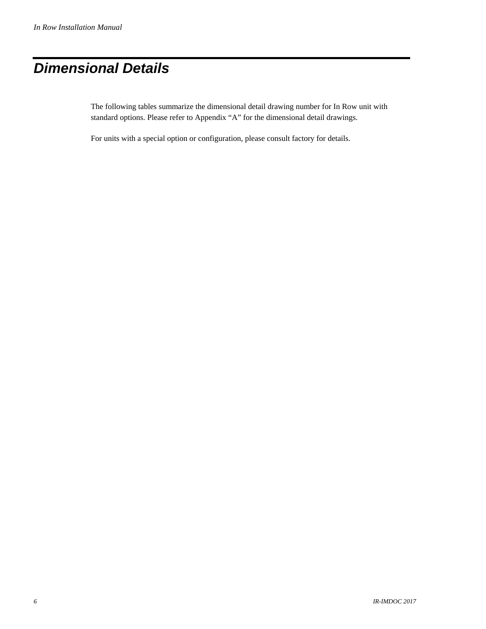### *Dimensional Details*

The following tables summarize the dimensional detail drawing number for In Row unit with standard options. Please refer to Appendix "A" for the dimensional detail drawings.

For units with a special option or configuration, please consult factory for details.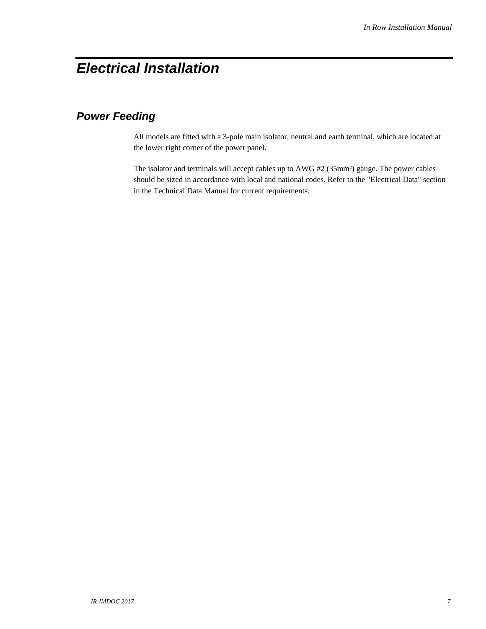### *Electrical Installation*

### *Power Feeding*

All models are fitted with a 3-pole main isolator, neutral and earth terminal, which are located at the lower right corner of the power panel.

The isolator and terminals will accept cables up to AWG #2 (35mm²) gauge. The power cables should be sized in accordance with local and national codes. Refer to the "Electrical Data" section in the Technical Data Manual for current requirements.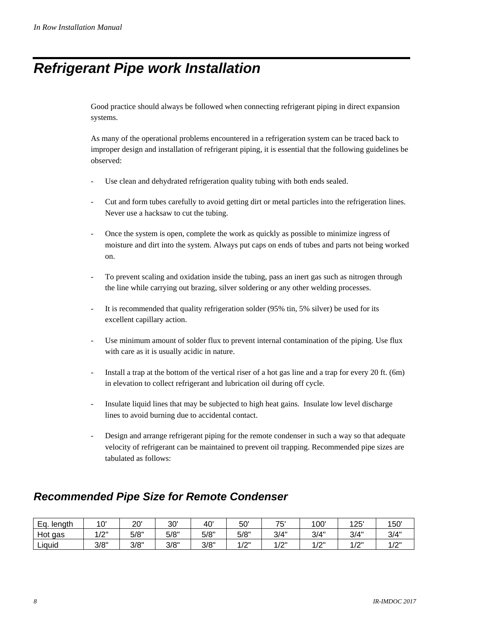### *Refrigerant Pipe work Installation*

Good practice should always be followed when connecting refrigerant piping in direct expansion systems.

As many of the operational problems encountered in a refrigeration system can be traced back to improper design and installation of refrigerant piping, it is essential that the following guidelines be observed:

- Use clean and dehydrated refrigeration quality tubing with both ends sealed.
- Cut and form tubes carefully to avoid getting dirt or metal particles into the refrigeration lines. Never use a hacksaw to cut the tubing.
- Once the system is open, complete the work as quickly as possible to minimize ingress of moisture and dirt into the system. Always put caps on ends of tubes and parts not being worked on.
- To prevent scaling and oxidation inside the tubing, pass an inert gas such as nitrogen through the line while carrying out brazing, silver soldering or any other welding processes.
- It is recommended that quality refrigeration solder (95% tin, 5% silver) be used for its excellent capillary action.
- Use minimum amount of solder flux to prevent internal contamination of the piping. Use flux with care as it is usually acidic in nature.
- Install a trap at the bottom of the vertical riser of a hot gas line and a trap for every 20 ft. (6m) in elevation to collect refrigerant and lubrication oil during off cycle.
- Insulate liquid lines that may be subjected to high heat gains. Insulate low level discharge lines to avoid burning due to accidental contact.
- Design and arrange refrigerant piping for the remote condenser in such a way so that adequate velocity of refrigerant can be maintained to prevent oil trapping. Recommended pipe sizes are tabulated as follows:

| length<br>Eq. | $\sqrt{2}$<br>ں ،     | יחר<br>∠⊾ | 30'  | 40   | 50                  | 75                | 100          | 125         | 150'       |
|---------------|-----------------------|-----------|------|------|---------------------|-------------------|--------------|-------------|------------|
| Hot gas       | ייר <i>יו</i><br>17 Z | 5/8"      | 5/8" | 5/8" | 5/8"                | 3/4"              | 3/4"         | 3/4"        | 3/4"       |
| Liquid        | 3/8"                  | 3/8"      | 3/8" | 3/8" | /2"<br>' / <u>'</u> | $\sqrt{2}$<br>╹╵┷ | 1/2"<br>17 L | /2"<br>17 Z | 1/21<br>╵╵ |

#### *Recommended Pipe Size for Remote Condenser*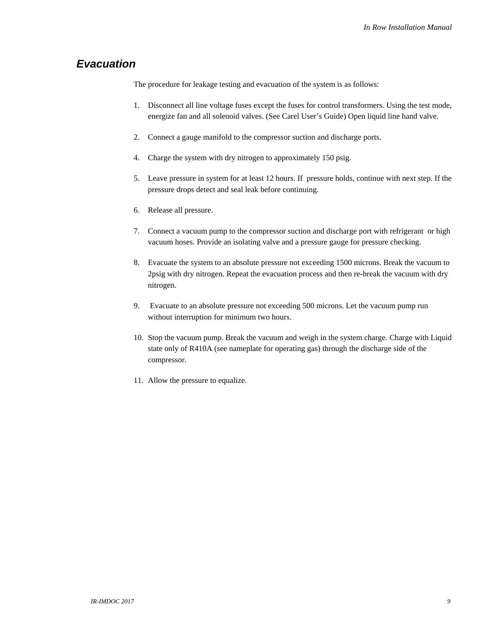#### *Evacuation*

The procedure for leakage testing and evacuation of the system is as follows:

- 1. Disconnect all line voltage fuses except the fuses for control transformers. Using the test mode, energize fan and all solenoid valves. (See Carel User's Guide) Open liquid line hand valve.
- 2. Connect a gauge manifold to the compressor suction and discharge ports.
- 4. Charge the system with dry nitrogen to approximately 150 psig.
- 5. Leave pressure in system for at least 12 hours. If pressure holds, continue with next step. If the pressure drops detect and seal leak before continuing.
- 6. Release all pressure.
- 7. Connect a vacuum pump to the compressor suction and discharge port with refrigerant or high vacuum hoses. Provide an isolating valve and a pressure gauge for pressure checking.
- 8. Evacuate the system to an absolute pressure not exceeding 1500 microns. Break the vacuum to 2psig with dry nitrogen. Repeat the evacuation process and then re-break the vacuum with dry nitrogen.
- 9. Evacuate to an absolute pressure not exceeding 500 microns. Let the vacuum pump run without interruption for minimum two hours.
- 10. Stop the vacuum pump. Break the vacuum and weigh in the system charge. Charge with Liquid state only of R410A (see nameplate for operating gas) through the discharge side of the compressor.
- 11. Allow the pressure to equalize.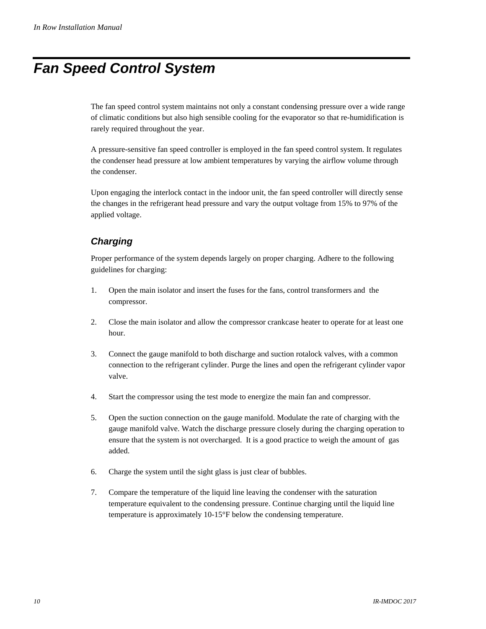### *Fan Speed Control System*

The fan speed control system maintains not only a constant condensing pressure over a wide range of climatic conditions but also high sensible cooling for the evaporator so that re-humidification is rarely required throughout the year.

A pressure-sensitive fan speed controller is employed in the fan speed control system. It regulates the condenser head pressure at low ambient temperatures by varying the airflow volume through the condenser.

Upon engaging the interlock contact in the indoor unit, the fan speed controller will directly sense the changes in the refrigerant head pressure and vary the output voltage from 15% to 97% of the applied voltage.

#### *Charging*

Proper performance of the system depends largely on proper charging. Adhere to the following guidelines for charging:

- 1. Open the main isolator and insert the fuses for the fans, control transformers and the compressor.
- 2. Close the main isolator and allow the compressor crankcase heater to operate for at least one hour.
- 3. Connect the gauge manifold to both discharge and suction rotalock valves, with a common connection to the refrigerant cylinder. Purge the lines and open the refrigerant cylinder vapor valve.
- 4. Start the compressor using the test mode to energize the main fan and compressor.
- 5. Open the suction connection on the gauge manifold. Modulate the rate of charging with the gauge manifold valve. Watch the discharge pressure closely during the charging operation to ensure that the system is not overcharged. It is a good practice to weigh the amount of gas added.
- 6. Charge the system until the sight glass is just clear of bubbles.
- 7. Compare the temperature of the liquid line leaving the condenser with the saturation temperature equivalent to the condensing pressure. Continue charging until the liquid line temperature is approximately 10-15°F below the condensing temperature.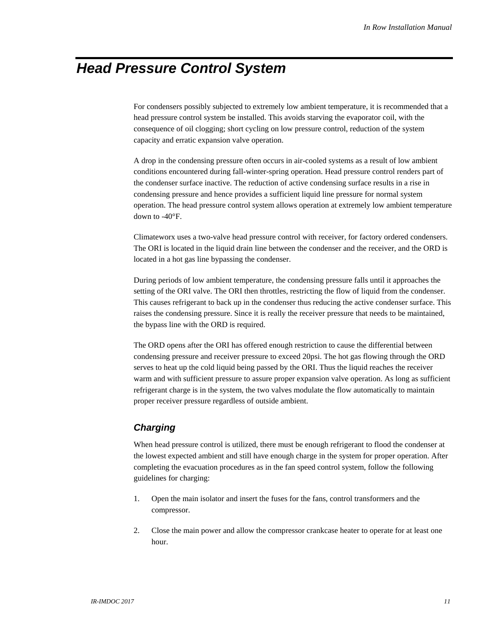### *Head Pressure Control System*

For condensers possibly subjected to extremely low ambient temperature, it is recommended that a head pressure control system be installed. This avoids starving the evaporator coil, with the consequence of oil clogging; short cycling on low pressure control, reduction of the system capacity and erratic expansion valve operation.

A drop in the condensing pressure often occurs in air-cooled systems as a result of low ambient conditions encountered during fall-winter-spring operation. Head pressure control renders part of the condenser surface inactive. The reduction of active condensing surface results in a rise in condensing pressure and hence provides a sufficient liquid line pressure for normal system operation. The head pressure control system allows operation at extremely low ambient temperature down to -40°F.

Climateworx uses a two-valve head pressure control with receiver, for factory ordered condensers. The ORI is located in the liquid drain line between the condenser and the receiver, and the ORD is located in a hot gas line bypassing the condenser.

During periods of low ambient temperature, the condensing pressure falls until it approaches the setting of the ORI valve. The ORI then throttles, restricting the flow of liquid from the condenser. This causes refrigerant to back up in the condenser thus reducing the active condenser surface. This raises the condensing pressure. Since it is really the receiver pressure that needs to be maintained, the bypass line with the ORD is required.

The ORD opens after the ORI has offered enough restriction to cause the differential between condensing pressure and receiver pressure to exceed 20psi. The hot gas flowing through the ORD serves to heat up the cold liquid being passed by the ORI. Thus the liquid reaches the receiver warm and with sufficient pressure to assure proper expansion valve operation. As long as sufficient refrigerant charge is in the system, the two valves modulate the flow automatically to maintain proper receiver pressure regardless of outside ambient.

#### *Charging*

When head pressure control is utilized, there must be enough refrigerant to flood the condenser at the lowest expected ambient and still have enough charge in the system for proper operation. After completing the evacuation procedures as in the fan speed control system, follow the following guidelines for charging:

- 1. Open the main isolator and insert the fuses for the fans, control transformers and the compressor.
- 2. Close the main power and allow the compressor crankcase heater to operate for at least one hour.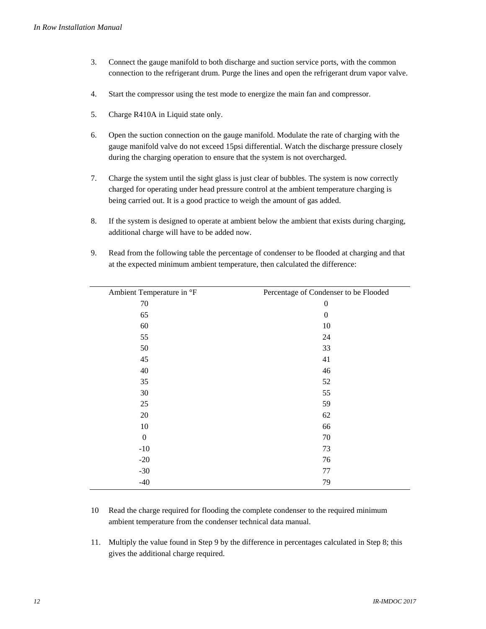- 3. Connect the gauge manifold to both discharge and suction service ports, with the common connection to the refrigerant drum. Purge the lines and open the refrigerant drum vapor valve.
- 4. Start the compressor using the test mode to energize the main fan and compressor.
- 5. Charge R410A in Liquid state only.
- 6. Open the suction connection on the gauge manifold. Modulate the rate of charging with the gauge manifold valve do not exceed 15psi differential. Watch the discharge pressure closely during the charging operation to ensure that the system is not overcharged.
- 7. Charge the system until the sight glass is just clear of bubbles. The system is now correctly charged for operating under head pressure control at the ambient temperature charging is being carried out. It is a good practice to weigh the amount of gas added.
- 8. If the system is designed to operate at ambient below the ambient that exists during charging, additional charge will have to be added now.
- 9. Read from the following table the percentage of condenser to be flooded at charging and that at the expected minimum ambient temperature, then calculated the difference:

| Ambient Temperature in °F | Percentage of Condenser to be Flooded |
|---------------------------|---------------------------------------|
| 70                        | $\boldsymbol{0}$                      |
| 65                        | $\mathbf{0}$                          |
| 60                        | 10                                    |
| 55                        | 24                                    |
| 50                        | 33                                    |
| 45                        | 41                                    |
| 40                        | 46                                    |
| 35                        | 52                                    |
| 30                        | 55                                    |
| 25                        | 59                                    |
| 20                        | 62                                    |
| 10                        | 66                                    |
| $\boldsymbol{0}$          | $70\,$                                |
| $-10$                     | 73                                    |
| $-20$                     | 76                                    |
| $-30$                     | 77                                    |
| $-40$                     | 79                                    |

- 10 Read the charge required for flooding the complete condenser to the required minimum ambient temperature from the condenser technical data manual.
- 11. Multiply the value found in Step 9 by the difference in percentages calculated in Step 8; this gives the additional charge required.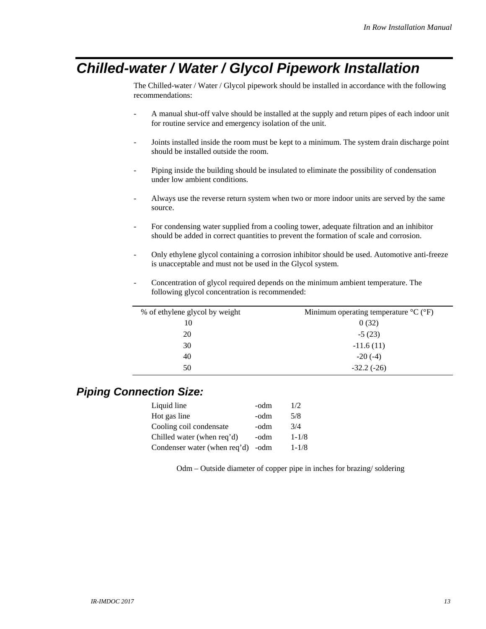### *Chilled-water / Water / Glycol Pipework Installation*

The Chilled-water / Water / Glycol pipework should be installed in accordance with the following recommendations:

- A manual shut-off valve should be installed at the supply and return pipes of each indoor unit for routine service and emergency isolation of the unit.
- Joints installed inside the room must be kept to a minimum. The system drain discharge point should be installed outside the room.
- Piping inside the building should be insulated to eliminate the possibility of condensation under low ambient conditions.
- Always use the reverse return system when two or more indoor units are served by the same source.
- For condensing water supplied from a cooling tower, adequate filtration and an inhibitor should be added in correct quantities to prevent the formation of scale and corrosion.
- Only ethylene glycol containing a corrosion inhibitor should be used. Automotive anti-freeze is unacceptable and must not be used in the Glycol system.

| % of ethylene glycol by weight | Minimum operating temperature ${}^{\circ}C$ ( ${}^{\circ}F$ ) |
|--------------------------------|---------------------------------------------------------------|
| 10                             | 0(32)                                                         |
| 20                             | $-5(23)$                                                      |
| 30                             | $-11.6(11)$                                                   |
| 40                             | $-20(-4)$                                                     |
| 50                             | $-32.2(-26)$                                                  |

#### - Concentration of glycol required depends on the minimum ambient temperature. The following glycol concentration is recommended:

#### *Piping Connection Size:*

| Liquid line                  | -odm | 1/2       |
|------------------------------|------|-----------|
| Hot gas line                 | -odm | 5/8       |
| Cooling coil condensate      | -odm | 3/4       |
| Chilled water (when req'd)   | -odm | $1 - 1/8$ |
| Condenser water (when req'd) | -odm | $1 - 1/8$ |

Odm – Outside diameter of copper pipe in inches for brazing/ soldering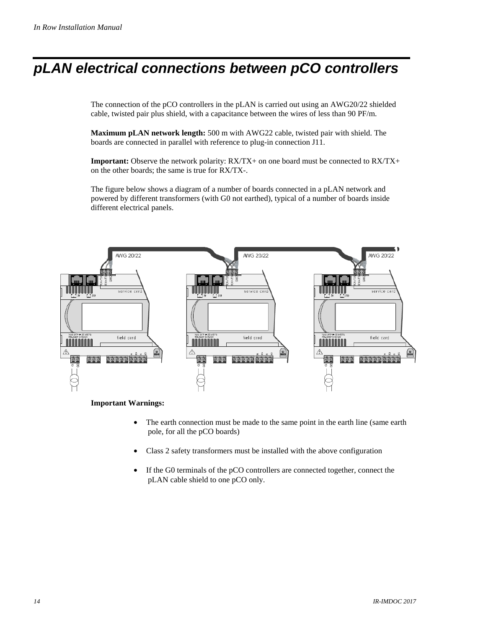### *pLAN electrical connections between pCO controllers*

The connection of the pCO controllers in the pLAN is carried out using an AWG20/22 shielded cable, twisted pair plus shield, with a capacitance between the wires of less than 90 PF/m.

**Maximum pLAN network length:** 500 m with AWG22 cable, twisted pair with shield. The boards are connected in parallel with reference to plug-in connection J11.

**Important:** Observe the network polarity: RX/TX+ on one board must be connected to RX/TX+ on the other boards; the same is true for RX/TX-.

The figure below shows a diagram of a number of boards connected in a pLAN network and powered by different transformers (with G0 not earthed), typical of a number of boards inside different electrical panels.



**Important Warnings:**

- The earth connection must be made to the same point in the earth line (same earth pole, for all the pCO boards)
- Class 2 safety transformers must be installed with the above configuration
- If the G0 terminals of the pCO controllers are connected together, connect the pLAN cable shield to one pCO only.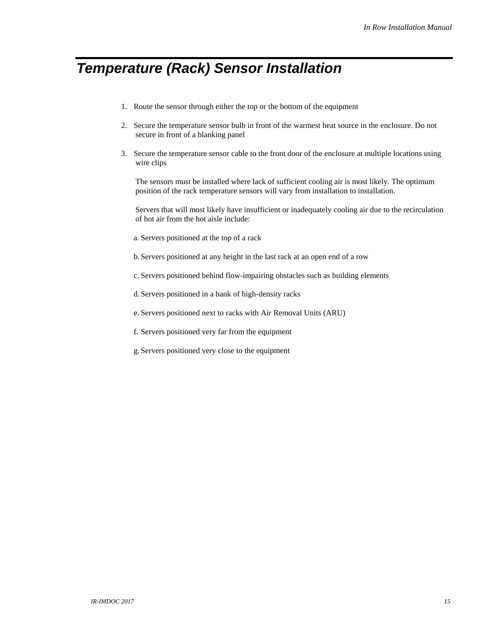### *Temperature (Rack) Sensor Installation*

- 1. Route the sensor through either the top or the bottom of the equipment
- 2. Secure the temperature sensor bulb in front of the warmest heat source in the enclosure. Do not secure in front of a blanking panel
- 3. Secure the temperature sensor cable to the front door of the enclosure at multiple locations using wire clips

The sensors must be installed where lack of sufficient cooling air is most likely. The optimum position of the rack temperature sensors will vary from installation to installation.

Servers that will most likely have insufficient or inadequately cooling air due to the recirculation of hot air from the hot aisle include:

- a. Servers positioned at the top of a rack
- b. Servers positioned at any height in the last rack at an open end of a row
- c. Servers positioned behind flow-impairing obstacles such as building elements
- d. Servers positioned in a bank of high-density racks
- e. Servers positioned next to racks with Air Removal Units (ARU)
- f. Servers positioned very far from the equipment
- g. Servers positioned very close to the equipment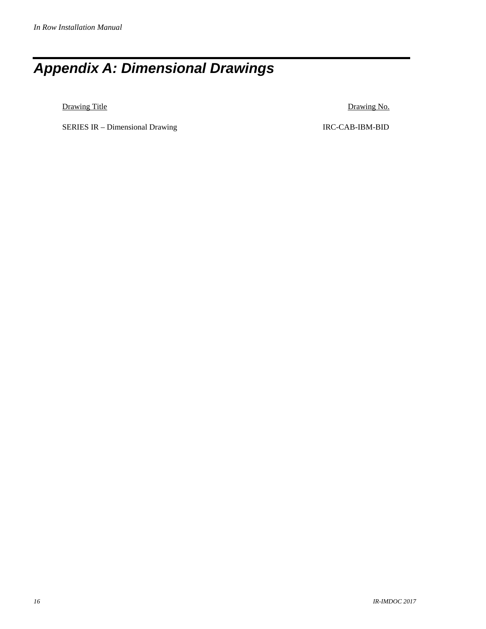### *Appendix A: Dimensional Drawings*

Drawing Title Drawing No.

SERIES IR – Dimensional Drawing IRC-CAB-IBM-BID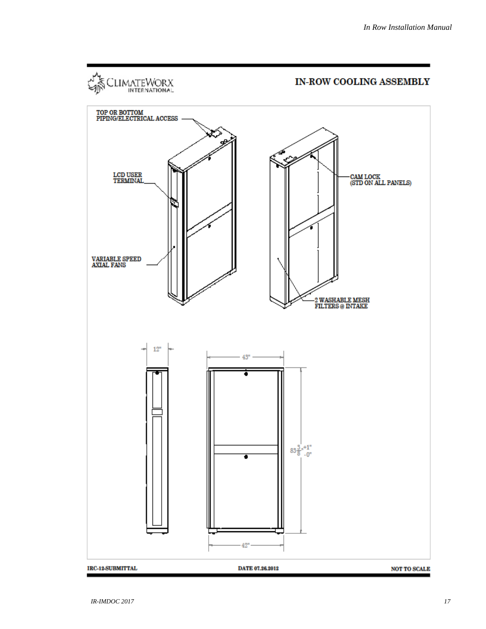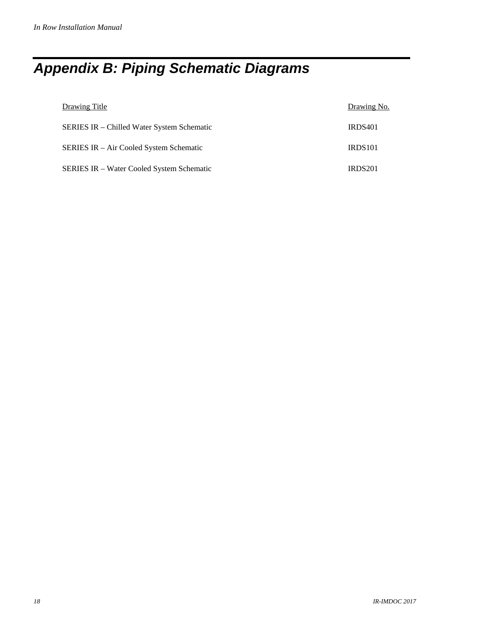## *Appendix B: Piping Schematic Diagrams*

| Drawing Title                              | Drawing No.         |
|--------------------------------------------|---------------------|
| SERIES IR – Chilled Water System Schematic | IRDS401             |
| SERIES IR – Air Cooled System Schematic    | IRDS <sub>101</sub> |
| SERIES IR – Water Cooled System Schematic  | IRDS201             |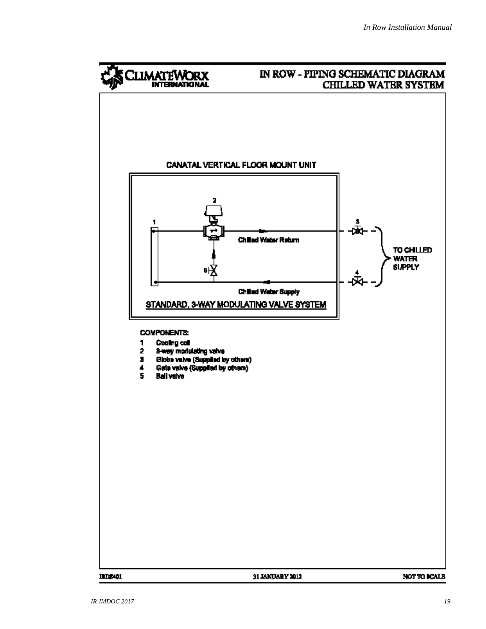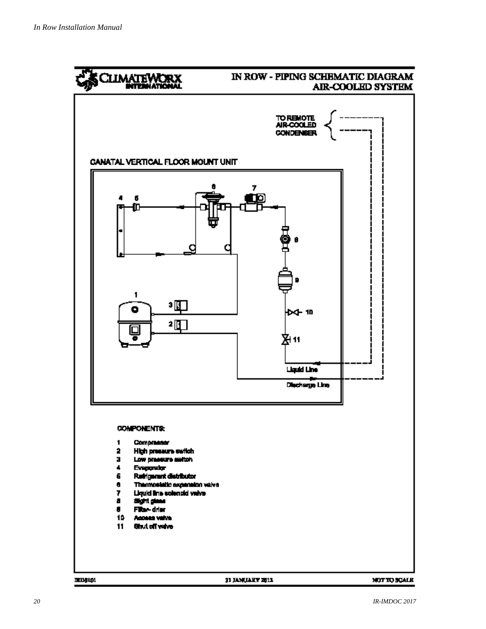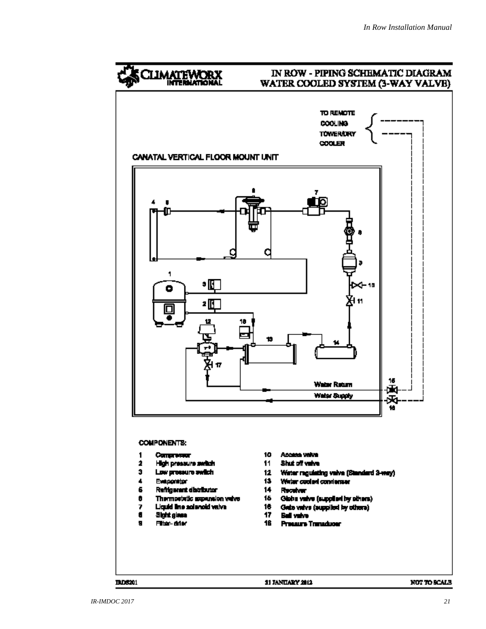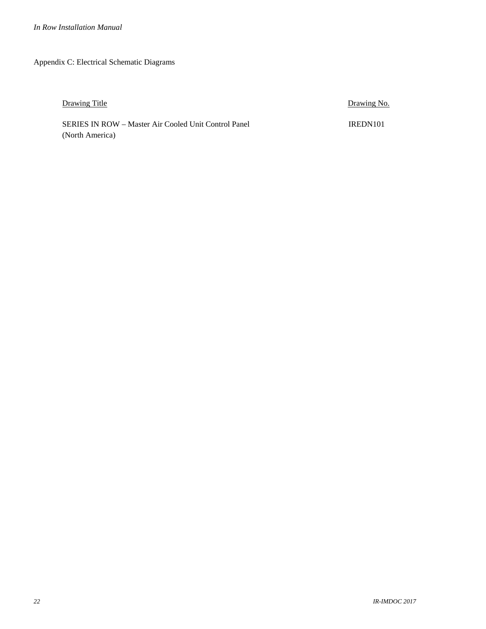*In Row Installation Manual* 

#### Appendix C: Electrical Schematic Diagrams

#### Drawing Title Drawing No.

SERIES IN ROW - Master Air Cooled Unit Control Panel IREDN101 (North America)